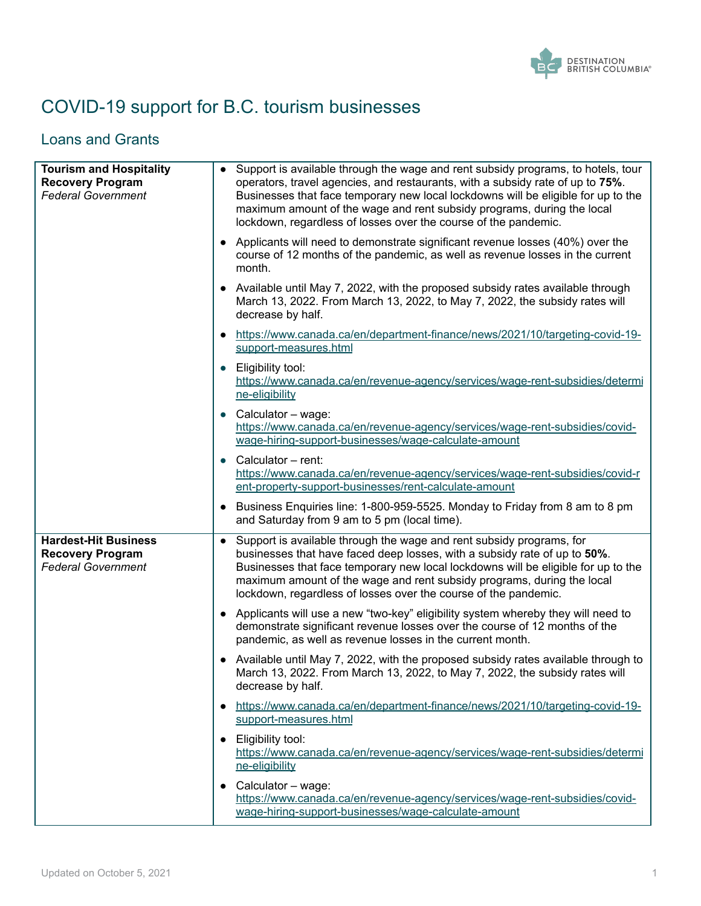

# COVID-19 support for B.C. tourism businesses

#### Loans and Grants

| <b>Tourism and Hospitality</b><br><b>Recovery Program</b><br><b>Federal Government</b> | $\bullet$ | Support is available through the wage and rent subsidy programs, to hotels, tour<br>operators, travel agencies, and restaurants, with a subsidy rate of up to 75%.<br>Businesses that face temporary new local lockdowns will be eligible for up to the<br>maximum amount of the wage and rent subsidy programs, during the local<br>lockdown, regardless of losses over the course of the pandemic. |
|----------------------------------------------------------------------------------------|-----------|------------------------------------------------------------------------------------------------------------------------------------------------------------------------------------------------------------------------------------------------------------------------------------------------------------------------------------------------------------------------------------------------------|
|                                                                                        |           | • Applicants will need to demonstrate significant revenue losses (40%) over the<br>course of 12 months of the pandemic, as well as revenue losses in the current<br>month.                                                                                                                                                                                                                           |
|                                                                                        |           | • Available until May 7, 2022, with the proposed subsidy rates available through<br>March 13, 2022. From March 13, 2022, to May 7, 2022, the subsidy rates will<br>decrease by half.                                                                                                                                                                                                                 |
|                                                                                        |           | https://www.canada.ca/en/department-finance/news/2021/10/targeting-covid-19-<br>support-measures.html                                                                                                                                                                                                                                                                                                |
|                                                                                        |           | Eligibility tool:<br>https://www.canada.ca/en/revenue-agency/services/wage-rent-subsidies/determi<br>ne-eligibility                                                                                                                                                                                                                                                                                  |
|                                                                                        |           | • Calculator – wage:<br>https://www.canada.ca/en/revenue-agency/services/wage-rent-subsidies/covid-<br>wage-hiring-support-businesses/wage-calculate-amount                                                                                                                                                                                                                                          |
|                                                                                        |           | Calculator - rent:<br>https://www.canada.ca/en/revenue-agency/services/wage-rent-subsidies/covid-r<br>ent-property-support-businesses/rent-calculate-amount                                                                                                                                                                                                                                          |
|                                                                                        | $\bullet$ | Business Enquiries line: 1-800-959-5525. Monday to Friday from 8 am to 8 pm<br>and Saturday from 9 am to 5 pm (local time).                                                                                                                                                                                                                                                                          |
| <b>Hardest-Hit Business</b><br><b>Recovery Program</b><br><b>Federal Government</b>    | $\bullet$ | Support is available through the wage and rent subsidy programs, for<br>businesses that have faced deep losses, with a subsidy rate of up to 50%.<br>Businesses that face temporary new local lockdowns will be eligible for up to the<br>maximum amount of the wage and rent subsidy programs, during the local<br>lockdown, regardless of losses over the course of the pandemic.                  |
|                                                                                        |           | • Applicants will use a new "two-key" eligibility system whereby they will need to<br>demonstrate significant revenue losses over the course of 12 months of the<br>pandemic, as well as revenue losses in the current month.                                                                                                                                                                        |
|                                                                                        |           | • Available until May 7, 2022, with the proposed subsidy rates available through to<br>March 13, 2022. From March 13, 2022, to May 7, 2022, the subsidy rates will<br>decrease by half.                                                                                                                                                                                                              |
|                                                                                        |           | https://www.canada.ca/en/department-finance/news/2021/10/targeting-covid-19-<br>support-measures.html                                                                                                                                                                                                                                                                                                |
|                                                                                        |           | Eligibility tool:<br>https://www.canada.ca/en/revenue-agency/services/wage-rent-subsidies/determi<br>ne-eligibility                                                                                                                                                                                                                                                                                  |
|                                                                                        |           | $\bullet$ Calculator – wage:<br>https://www.canada.ca/en/revenue-agency/services/wage-rent-subsidies/covid-<br>wage-hiring-support-businesses/wage-calculate-amount                                                                                                                                                                                                                                  |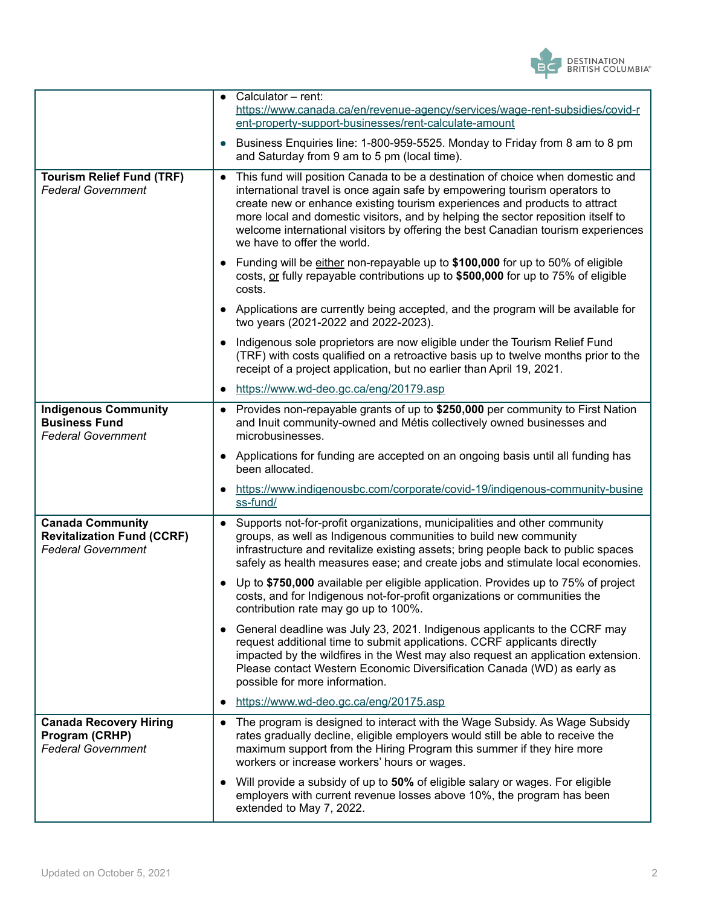

|                                                                                           | Calculator - rent:<br>https://www.canada.ca/en/revenue-agency/services/wage-rent-subsidies/covid-r<br>ent-property-support-businesses/rent-calculate-amount                                                                                                                                                                                                                                                                                                    |
|-------------------------------------------------------------------------------------------|----------------------------------------------------------------------------------------------------------------------------------------------------------------------------------------------------------------------------------------------------------------------------------------------------------------------------------------------------------------------------------------------------------------------------------------------------------------|
|                                                                                           | Business Enquiries line: 1-800-959-5525. Monday to Friday from 8 am to 8 pm<br>and Saturday from 9 am to 5 pm (local time).                                                                                                                                                                                                                                                                                                                                    |
| <b>Tourism Relief Fund (TRF)</b><br><b>Federal Government</b>                             | This fund will position Canada to be a destination of choice when domestic and<br>$\bullet$<br>international travel is once again safe by empowering tourism operators to<br>create new or enhance existing tourism experiences and products to attract<br>more local and domestic visitors, and by helping the sector reposition itself to<br>welcome international visitors by offering the best Canadian tourism experiences<br>we have to offer the world. |
|                                                                                           | Funding will be either non-repayable up to \$100,000 for up to 50% of eligible<br>$\bullet$<br>costs, or fully repayable contributions up to \$500,000 for up to 75% of eligible<br>costs.                                                                                                                                                                                                                                                                     |
|                                                                                           | • Applications are currently being accepted, and the program will be available for<br>two years (2021-2022 and 2022-2023).                                                                                                                                                                                                                                                                                                                                     |
|                                                                                           | Indigenous sole proprietors are now eligible under the Tourism Relief Fund<br>(TRF) with costs qualified on a retroactive basis up to twelve months prior to the<br>receipt of a project application, but no earlier than April 19, 2021.                                                                                                                                                                                                                      |
|                                                                                           | https://www.wd-deo.gc.ca/eng/20179.asp<br>$\bullet$                                                                                                                                                                                                                                                                                                                                                                                                            |
| <b>Indigenous Community</b><br><b>Business Fund</b><br><b>Federal Government</b>          | Provides non-repayable grants of up to \$250,000 per community to First Nation<br>$\bullet$<br>and Inuit community-owned and Métis collectively owned businesses and<br>microbusinesses.                                                                                                                                                                                                                                                                       |
|                                                                                           | Applications for funding are accepted on an ongoing basis until all funding has<br>been allocated.                                                                                                                                                                                                                                                                                                                                                             |
|                                                                                           | https://www.indigenousbc.com/corporate/covid-19/indigenous-community-busine<br>ss-fund/                                                                                                                                                                                                                                                                                                                                                                        |
| <b>Canada Community</b><br><b>Revitalization Fund (CCRF)</b><br><b>Federal Government</b> | Supports not-for-profit organizations, municipalities and other community<br>$\bullet$<br>groups, as well as Indigenous communities to build new community<br>infrastructure and revitalize existing assets; bring people back to public spaces<br>safely as health measures ease; and create jobs and stimulate local economies.                                                                                                                              |
|                                                                                           | Up to \$750,000 available per eligible application. Provides up to 75% of project<br>costs, and for Indigenous not-for-profit organizations or communities the<br>contribution rate may go up to 100%.                                                                                                                                                                                                                                                         |
|                                                                                           | General deadline was July 23, 2021. Indigenous applicants to the CCRF may<br>$\bullet$<br>request additional time to submit applications. CCRF applicants directly<br>impacted by the wildfires in the West may also request an application extension.<br>Please contact Western Economic Diversification Canada (WD) as early as<br>possible for more information.                                                                                            |
|                                                                                           | https://www.wd-deo.gc.ca/eng/20175.asp<br>٠                                                                                                                                                                                                                                                                                                                                                                                                                    |
| <b>Canada Recovery Hiring</b><br>Program (CRHP)<br><b>Federal Government</b>              | • The program is designed to interact with the Wage Subsidy. As Wage Subsidy<br>rates gradually decline, eligible employers would still be able to receive the<br>maximum support from the Hiring Program this summer if they hire more<br>workers or increase workers' hours or wages.                                                                                                                                                                        |
|                                                                                           | • Will provide a subsidy of up to 50% of eligible salary or wages. For eligible<br>employers with current revenue losses above 10%, the program has been<br>extended to May 7, 2022.                                                                                                                                                                                                                                                                           |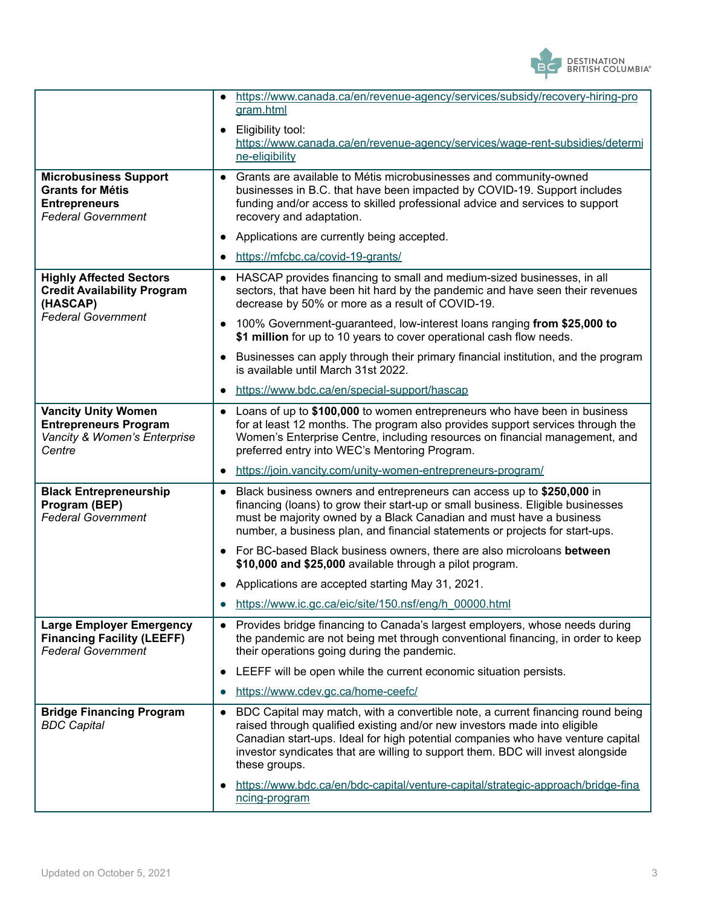

|                                                                                                              | https://www.canada.ca/en/revenue-agency/services/subsidy/recovery-hiring-pro<br>gram.html                                                                                                                                                                                                                                                                        |
|--------------------------------------------------------------------------------------------------------------|------------------------------------------------------------------------------------------------------------------------------------------------------------------------------------------------------------------------------------------------------------------------------------------------------------------------------------------------------------------|
|                                                                                                              | Eligibility tool:<br>https://www.canada.ca/en/revenue-agency/services/wage-rent-subsidies/determi<br>ne-eligibility                                                                                                                                                                                                                                              |
| <b>Microbusiness Support</b><br><b>Grants for Métis</b><br><b>Entrepreneurs</b><br><b>Federal Government</b> | Grants are available to Métis microbusinesses and community-owned<br>$\bullet$<br>businesses in B.C. that have been impacted by COVID-19. Support includes<br>funding and/or access to skilled professional advice and services to support<br>recovery and adaptation.                                                                                           |
|                                                                                                              | Applications are currently being accepted.                                                                                                                                                                                                                                                                                                                       |
|                                                                                                              | https://mfcbc.ca/covid-19-grants/<br>$\bullet$                                                                                                                                                                                                                                                                                                                   |
| <b>Highly Affected Sectors</b><br><b>Credit Availability Program</b><br>(HASCAP)                             | HASCAP provides financing to small and medium-sized businesses, in all<br>$\bullet$<br>sectors, that have been hit hard by the pandemic and have seen their revenues<br>decrease by 50% or more as a result of COVID-19.                                                                                                                                         |
| <b>Federal Government</b>                                                                                    | 100% Government-guaranteed, low-interest loans ranging from \$25,000 to<br>\$1 million for up to 10 years to cover operational cash flow needs.                                                                                                                                                                                                                  |
|                                                                                                              | Businesses can apply through their primary financial institution, and the program<br>is available until March 31st 2022.                                                                                                                                                                                                                                         |
|                                                                                                              | https://www.bdc.ca/en/special-support/hascap<br>$\bullet$                                                                                                                                                                                                                                                                                                        |
| <b>Vancity Unity Women</b><br><b>Entrepreneurs Program</b><br>Vancity & Women's Enterprise<br>Centre         | Loans of up to \$100,000 to women entrepreneurs who have been in business<br>$\bullet$<br>for at least 12 months. The program also provides support services through the<br>Women's Enterprise Centre, including resources on financial management, and<br>preferred entry into WEC's Mentoring Program.                                                         |
|                                                                                                              | https://join.vancity.com/unity-women-entrepreneurs-program/<br>$\bullet$                                                                                                                                                                                                                                                                                         |
| <b>Black Entrepreneurship</b><br>Program (BEP)<br><b>Federal Government</b>                                  | Black business owners and entrepreneurs can access up to \$250,000 in<br>$\bullet$<br>financing (loans) to grow their start-up or small business. Eligible businesses<br>must be majority owned by a Black Canadian and must have a business<br>number, a business plan, and financial statements or projects for start-ups.                                     |
|                                                                                                              | For BC-based Black business owners, there are also microloans between<br>\$10,000 and \$25,000 available through a pilot program.                                                                                                                                                                                                                                |
|                                                                                                              | Applications are accepted starting May 31, 2021.                                                                                                                                                                                                                                                                                                                 |
|                                                                                                              | https://www.ic.gc.ca/eic/site/150.nsf/eng/h_00000.html                                                                                                                                                                                                                                                                                                           |
| <b>Large Employer Emergency</b><br><b>Financing Facility (LEEFF)</b><br><b>Federal Government</b>            | • Provides bridge financing to Canada's largest employers, whose needs during<br>the pandemic are not being met through conventional financing, in order to keep<br>their operations going during the pandemic.                                                                                                                                                  |
|                                                                                                              | LEEFF will be open while the current economic situation persists.<br>$\bullet$                                                                                                                                                                                                                                                                                   |
|                                                                                                              | https://www.cdev.gc.ca/home-ceefc/<br>$\bullet$                                                                                                                                                                                                                                                                                                                  |
| <b>Bridge Financing Program</b><br><b>BDC Capital</b>                                                        | BDC Capital may match, with a convertible note, a current financing round being<br>$\bullet$<br>raised through qualified existing and/or new investors made into eligible<br>Canadian start-ups. Ideal for high potential companies who have venture capital<br>investor syndicates that are willing to support them. BDC will invest alongside<br>these groups. |
|                                                                                                              | https://www.bdc.ca/en/bdc-capital/venture-capital/strategic-approach/bridge-fina<br>ncing-program                                                                                                                                                                                                                                                                |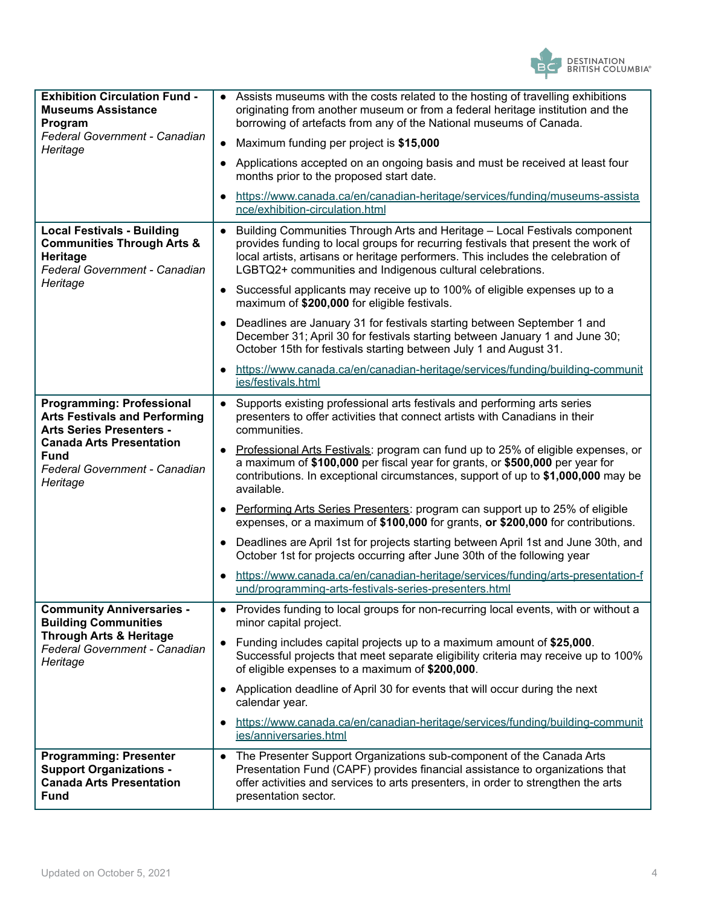

| <b>Exhibition Circulation Fund -</b><br><b>Museums Assistance</b><br>Program<br>Federal Government - Canadian<br>Heritage                                                                                  | • Assists museums with the costs related to the hosting of travelling exhibitions<br>originating from another museum or from a federal heritage institution and the<br>borrowing of artefacts from any of the National museums of Canada.<br>Maximum funding per project is \$15,000                                          |
|------------------------------------------------------------------------------------------------------------------------------------------------------------------------------------------------------------|-------------------------------------------------------------------------------------------------------------------------------------------------------------------------------------------------------------------------------------------------------------------------------------------------------------------------------|
|                                                                                                                                                                                                            | Applications accepted on an ongoing basis and must be received at least four<br>months prior to the proposed start date.                                                                                                                                                                                                      |
|                                                                                                                                                                                                            | https://www.canada.ca/en/canadian-heritage/services/funding/museums-assista<br>nce/exhibition-circulation.html                                                                                                                                                                                                                |
| <b>Local Festivals - Building</b><br><b>Communities Through Arts &amp;</b><br>Heritage<br>Federal Government - Canadian                                                                                    | Building Communities Through Arts and Heritage - Local Festivals component<br>$\bullet$<br>provides funding to local groups for recurring festivals that present the work of<br>local artists, artisans or heritage performers. This includes the celebration of<br>LGBTQ2+ communities and Indigenous cultural celebrations. |
| Heritage                                                                                                                                                                                                   | Successful applicants may receive up to 100% of eligible expenses up to a<br>$\bullet$<br>maximum of \$200,000 for eligible festivals.                                                                                                                                                                                        |
|                                                                                                                                                                                                            | Deadlines are January 31 for festivals starting between September 1 and<br>December 31; April 30 for festivals starting between January 1 and June 30;<br>October 15th for festivals starting between July 1 and August 31.                                                                                                   |
|                                                                                                                                                                                                            | https://www.canada.ca/en/canadian-heritage/services/funding/building-community<br>ies/festivals.html                                                                                                                                                                                                                          |
| <b>Programming: Professional</b><br><b>Arts Festivals and Performing</b><br><b>Arts Series Presenters -</b><br><b>Canada Arts Presentation</b><br><b>Fund</b><br>Federal Government - Canadian<br>Heritage | Supports existing professional arts festivals and performing arts series<br>$\bullet$<br>presenters to offer activities that connect artists with Canadians in their<br>communities.                                                                                                                                          |
|                                                                                                                                                                                                            | Professional Arts Festivals: program can fund up to 25% of eligible expenses, or<br>a maximum of \$100,000 per fiscal year for grants, or \$500,000 per year for<br>contributions. In exceptional circumstances, support of up to \$1,000,000 may be<br>available.                                                            |
|                                                                                                                                                                                                            | Performing Arts Series Presenters: program can support up to 25% of eligible<br>$\bullet$<br>expenses, or a maximum of \$100,000 for grants, or \$200,000 for contributions.                                                                                                                                                  |
|                                                                                                                                                                                                            | Deadlines are April 1st for projects starting between April 1st and June 30th, and<br>October 1st for projects occurring after June 30th of the following year                                                                                                                                                                |
|                                                                                                                                                                                                            | https://www.canada.ca/en/canadian-heritage/services/funding/arts-presentation-f<br>und/programming-arts-festivals-series-presenters.html                                                                                                                                                                                      |
| <b>Community Anniversaries -</b><br><b>Building Communities</b>                                                                                                                                            | Provides funding to local groups for non-recurring local events, with or without a<br>minor capital project.                                                                                                                                                                                                                  |
| <b>Through Arts &amp; Heritage</b><br>Federal Government - Canadian<br>Heritage                                                                                                                            | Funding includes capital projects up to a maximum amount of \$25,000.<br>Successful projects that meet separate eligibility criteria may receive up to 100%<br>of eligible expenses to a maximum of \$200,000.                                                                                                                |
|                                                                                                                                                                                                            | Application deadline of April 30 for events that will occur during the next<br>calendar year.                                                                                                                                                                                                                                 |
|                                                                                                                                                                                                            | https://www.canada.ca/en/canadian-heritage/services/funding/building-community<br>ies/anniversaries.html                                                                                                                                                                                                                      |
| <b>Programming: Presenter</b><br><b>Support Organizations -</b><br><b>Canada Arts Presentation</b><br><b>Fund</b>                                                                                          | The Presenter Support Organizations sub-component of the Canada Arts<br>$\bullet$<br>Presentation Fund (CAPF) provides financial assistance to organizations that<br>offer activities and services to arts presenters, in order to strengthen the arts<br>presentation sector.                                                |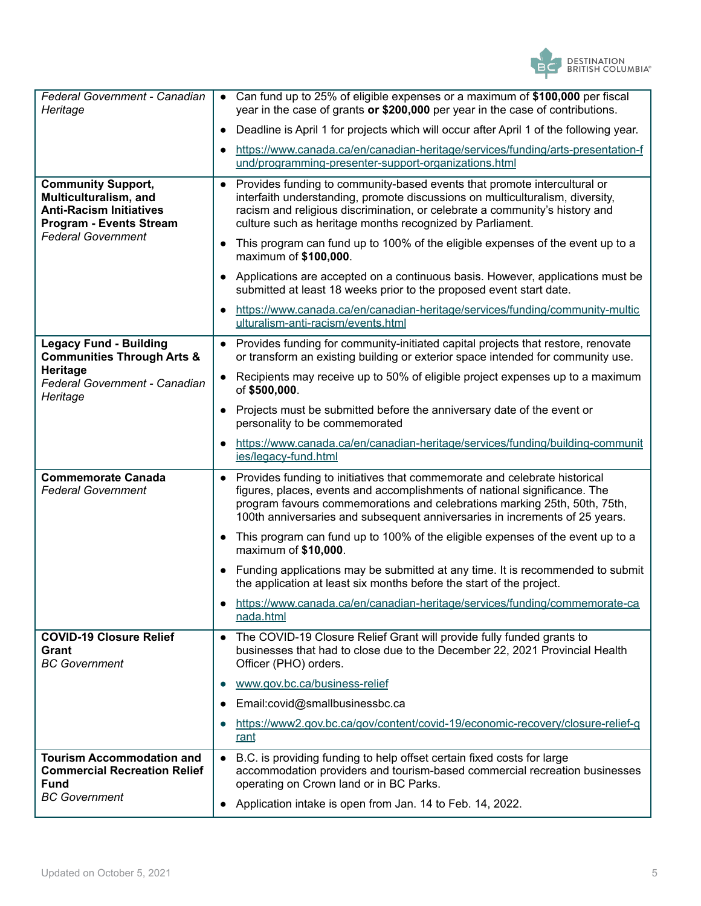

| Federal Government - Canadian<br>Heritage                                                                                                           | Can fund up to 25% of eligible expenses or a maximum of \$100,000 per fiscal<br>year in the case of grants or \$200,000 per year in the case of contributions.                                                                                                                                                     |
|-----------------------------------------------------------------------------------------------------------------------------------------------------|--------------------------------------------------------------------------------------------------------------------------------------------------------------------------------------------------------------------------------------------------------------------------------------------------------------------|
|                                                                                                                                                     | Deadline is April 1 for projects which will occur after April 1 of the following year.                                                                                                                                                                                                                             |
|                                                                                                                                                     | https://www.canada.ca/en/canadian-heritage/services/funding/arts-presentation-f<br>und/programming-presenter-support-organizations.html                                                                                                                                                                            |
| <b>Community Support,</b><br>Multiculturalism, and<br><b>Anti-Racism Initiatives</b><br><b>Program - Events Stream</b><br><b>Federal Government</b> | Provides funding to community-based events that promote intercultural or<br>$\bullet$<br>interfaith understanding, promote discussions on multiculturalism, diversity,<br>racism and religious discrimination, or celebrate a community's history and<br>culture such as heritage months recognized by Parliament. |
|                                                                                                                                                     | This program can fund up to 100% of the eligible expenses of the event up to a<br>maximum of \$100,000.                                                                                                                                                                                                            |
|                                                                                                                                                     | Applications are accepted on a continuous basis. However, applications must be<br>submitted at least 18 weeks prior to the proposed event start date.                                                                                                                                                              |
|                                                                                                                                                     | https://www.canada.ca/en/canadian-heritage/services/funding/community-multic<br>ulturalism-anti-racism/events.html                                                                                                                                                                                                 |
| <b>Legacy Fund - Building</b><br><b>Communities Through Arts &amp;</b>                                                                              | Provides funding for community-initiated capital projects that restore, renovate<br>$\bullet$<br>or transform an existing building or exterior space intended for community use.                                                                                                                                   |
| Heritage<br>Federal Government - Canadian<br>Heritage                                                                                               | Recipients may receive up to 50% of eligible project expenses up to a maximum<br>of \$500,000.                                                                                                                                                                                                                     |
|                                                                                                                                                     | Projects must be submitted before the anniversary date of the event or<br>personality to be commemorated                                                                                                                                                                                                           |
|                                                                                                                                                     | https://www.canada.ca/en/canadian-heritage/services/funding/building-communit<br>ies/legacy-fund.html                                                                                                                                                                                                              |
| <b>Commemorate Canada</b><br><b>Federal Government</b>                                                                                              | Provides funding to initiatives that commemorate and celebrate historical<br>figures, places, events and accomplishments of national significance. The<br>program favours commemorations and celebrations marking 25th, 50th, 75th,<br>100th anniversaries and subsequent anniversaries in increments of 25 years. |
|                                                                                                                                                     | This program can fund up to 100% of the eligible expenses of the event up to a<br>maximum of \$10,000.                                                                                                                                                                                                             |
|                                                                                                                                                     | Funding applications may be submitted at any time. It is recommended to submit<br>the application at least six months before the start of the project.                                                                                                                                                             |
|                                                                                                                                                     | https://www.canada.ca/en/canadian-heritage/services/funding/commemorate-ca<br>nada.html                                                                                                                                                                                                                            |
| <b>COVID-19 Closure Relief</b><br>Grant<br><b>BC</b> Government                                                                                     | The COVID-19 Closure Relief Grant will provide fully funded grants to<br>$\bullet$<br>businesses that had to close due to the December 22, 2021 Provincial Health<br>Officer (PHO) orders.                                                                                                                         |
|                                                                                                                                                     | www.gov.bc.ca/business-relief                                                                                                                                                                                                                                                                                      |
|                                                                                                                                                     | Email:covid@smallbusinessbc.ca                                                                                                                                                                                                                                                                                     |
|                                                                                                                                                     | https://www2.gov.bc.ca/gov/content/covid-19/economic-recovery/closure-relief-g<br>rant                                                                                                                                                                                                                             |
| <b>Tourism Accommodation and</b><br><b>Commercial Recreation Relief</b><br><b>Fund</b>                                                              | B.C. is providing funding to help offset certain fixed costs for large<br>$\bullet$<br>accommodation providers and tourism-based commercial recreation businesses<br>operating on Crown land or in BC Parks.                                                                                                       |
| <b>BC</b> Government                                                                                                                                | Application intake is open from Jan. 14 to Feb. 14, 2022.                                                                                                                                                                                                                                                          |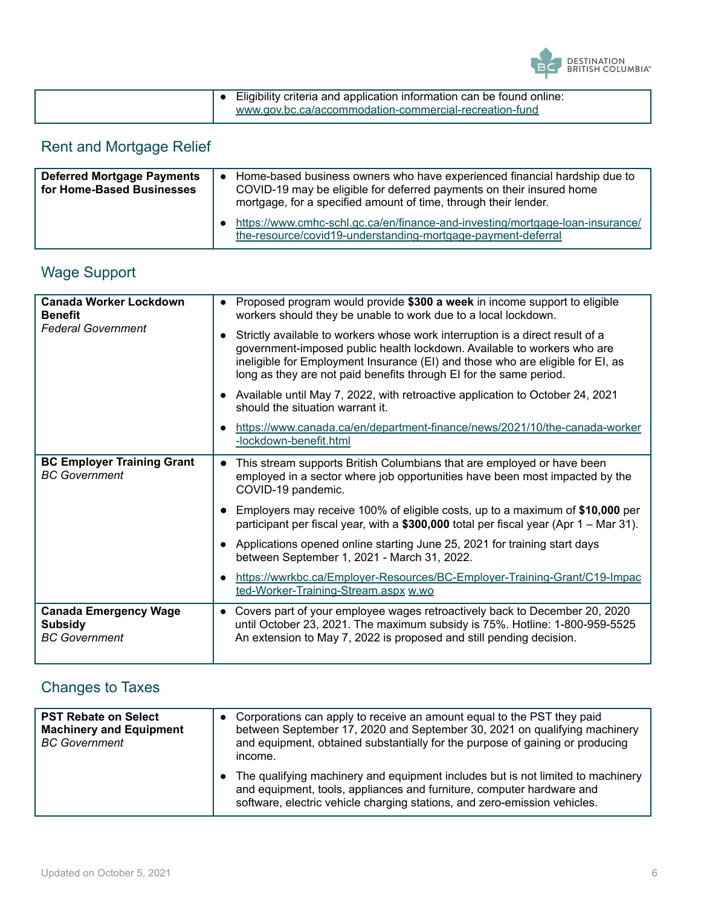

| Eligibility criteria and application information can be found online: |
|-----------------------------------------------------------------------|
| www.gov.bc.ca/accommodation-commercial-recreation-fund                |

## Rent and Mortgage Relief

| <b>Deferred Mortgage Payments</b><br>for Home-Based Businesses | Home-based business owners who have experienced financial hardship due to<br>COVID-19 may be eligible for deferred payments on their insured home<br>mortgage, for a specified amount of time, through their lender. |
|----------------------------------------------------------------|----------------------------------------------------------------------------------------------------------------------------------------------------------------------------------------------------------------------|
|                                                                | https://www.cmhc-schl.gc.ca/en/finance-and-investing/mortgage-loan-insurance/<br>the-resource/covid19-understanding-mortgage-payment-deferral                                                                        |

| <b>Wage Support</b> |  |  |
|---------------------|--|--|
|                     |  |  |

| <b>Canada Worker Lockdown</b><br><b>Benefit</b><br><b>Federal Government</b> | Proposed program would provide \$300 a week in income support to eligible<br>workers should they be unable to work due to a local lockdown.                                                                                                                                                                      |
|------------------------------------------------------------------------------|------------------------------------------------------------------------------------------------------------------------------------------------------------------------------------------------------------------------------------------------------------------------------------------------------------------|
|                                                                              | Strictly available to workers whose work interruption is a direct result of a<br>government-imposed public health lockdown. Available to workers who are<br>ineligible for Employment Insurance (EI) and those who are eligible for EI, as<br>long as they are not paid benefits through EI for the same period. |
|                                                                              | Available until May 7, 2022, with retroactive application to October 24, 2021<br>should the situation warrant it.                                                                                                                                                                                                |
|                                                                              | https://www.canada.ca/en/department-finance/news/2021/10/the-canada-worker<br>-lockdown-benefit.html                                                                                                                                                                                                             |
| <b>BC Employer Training Grant</b><br><b>BC</b> Government                    | This stream supports British Columbians that are employed or have been<br>employed in a sector where job opportunities have been most impacted by the<br>COVID-19 pandemic.                                                                                                                                      |
|                                                                              | Employers may receive 100% of eligible costs, up to a maximum of \$10,000 per<br>participant per fiscal year, with a \$300,000 total per fiscal year (Apr $1 - \text{Mar } 31$ ).                                                                                                                                |
|                                                                              | Applications opened online starting June 25, 2021 for training start days<br>between September 1, 2021 - March 31, 2022.                                                                                                                                                                                         |
|                                                                              | https://wwrkbc.ca/Employer-Resources/BC-Employer-Training-Grant/C19-Impac<br>ted-Worker-Training-Stream.aspx w.wo                                                                                                                                                                                                |
| <b>Canada Emergency Wage</b><br><b>Subsidy</b><br><b>BC</b> Government       | Covers part of your employee wages retroactively back to December 20, 2020<br>until October 23, 2021. The maximum subsidy is 75%. Hotline: 1-800-959-5525<br>An extension to May 7, 2022 is proposed and still pending decision.                                                                                 |

### Changes to Taxes

| <b>PST Rebate on Select</b><br><b>Machinery and Equipment</b><br><b>BC</b> Government | Corporations can apply to receive an amount equal to the PST they paid<br>between September 17, 2020 and September 30, 2021 on qualifying machinery<br>and equipment, obtained substantially for the purpose of gaining or producing<br>income. |
|---------------------------------------------------------------------------------------|-------------------------------------------------------------------------------------------------------------------------------------------------------------------------------------------------------------------------------------------------|
|                                                                                       | The qualifying machinery and equipment includes but is not limited to machinery<br>and equipment, tools, appliances and furniture, computer hardware and<br>software, electric vehicle charging stations, and zero-emission vehicles.           |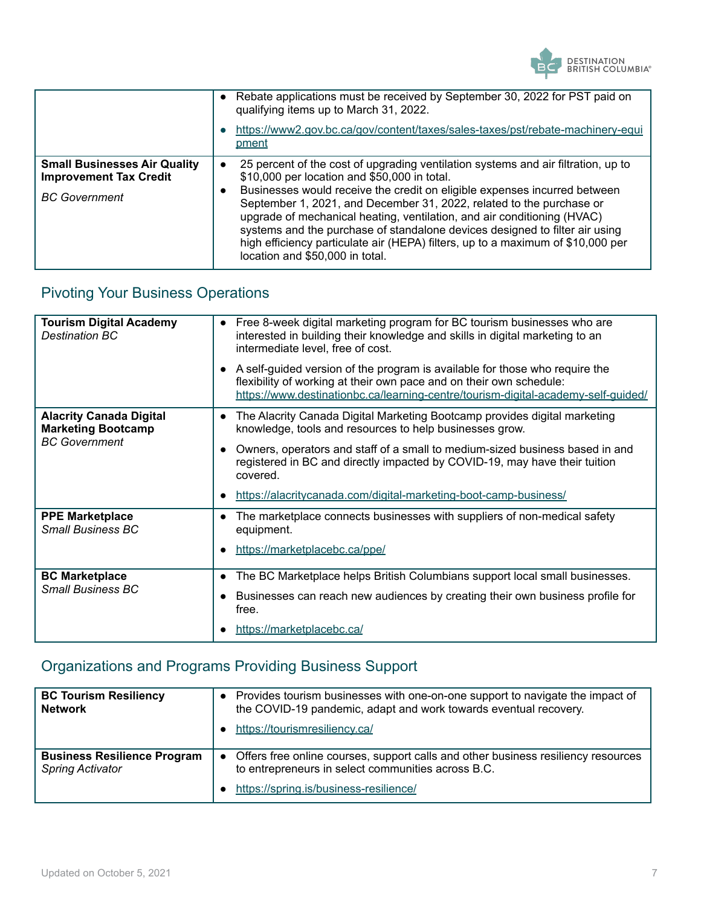

|                                                                                              | • Rebate applications must be received by September 30, 2022 for PST paid on<br>qualifying items up to March 31, 2022.<br>https://www2.gov.bc.ca/gov/content/taxes/sales-taxes/pst/rebate-machinery-equi<br>pment                                                                                                                                                                                                                                                                                                                                                      |
|----------------------------------------------------------------------------------------------|------------------------------------------------------------------------------------------------------------------------------------------------------------------------------------------------------------------------------------------------------------------------------------------------------------------------------------------------------------------------------------------------------------------------------------------------------------------------------------------------------------------------------------------------------------------------|
| <b>Small Businesses Air Quality</b><br><b>Improvement Tax Credit</b><br><b>BC</b> Government | 25 percent of the cost of upgrading ventilation systems and air filtration, up to<br>\$10,000 per location and \$50,000 in total.<br>Businesses would receive the credit on eligible expenses incurred between<br>September 1, 2021, and December 31, 2022, related to the purchase or<br>upgrade of mechanical heating, ventilation, and air conditioning (HVAC)<br>systems and the purchase of standalone devices designed to filter air using<br>high efficiency particulate air (HEPA) filters, up to a maximum of \$10,000 per<br>location and \$50,000 in total. |

### Pivoting Your Business Operations

| <b>Tourism Digital Academy</b><br><b>Destination BC</b>     | Free 8-week digital marketing program for BC tourism businesses who are<br>$\bullet$<br>interested in building their knowledge and skills in digital marketing to an<br>intermediate level, free of cost.<br>A self-guided version of the program is available for those who require the<br>flexibility of working at their own pace and on their own schedule:<br>https://www.destinationbc.ca/learning-centre/tourism-digital-academy-self-quided/ |
|-------------------------------------------------------------|------------------------------------------------------------------------------------------------------------------------------------------------------------------------------------------------------------------------------------------------------------------------------------------------------------------------------------------------------------------------------------------------------------------------------------------------------|
| <b>Alacrity Canada Digital</b><br><b>Marketing Bootcamp</b> | The Alacrity Canada Digital Marketing Bootcamp provides digital marketing<br>$\bullet$<br>knowledge, tools and resources to help businesses grow.                                                                                                                                                                                                                                                                                                    |
| <b>BC</b> Government                                        | Owners, operators and staff of a small to medium-sized business based in and<br>registered in BC and directly impacted by COVID-19, may have their tuition<br>covered.                                                                                                                                                                                                                                                                               |
|                                                             | https://alacritycanada.com/digital-marketing-boot-camp-business/                                                                                                                                                                                                                                                                                                                                                                                     |
| <b>PPE Marketplace</b><br><b>Small Business BC</b>          | The marketplace connects businesses with suppliers of non-medical safety<br>equipment.<br>https://marketplacebc.ca/ppe/                                                                                                                                                                                                                                                                                                                              |
| <b>BC Marketplace</b><br><b>Small Business BC</b>           | The BC Marketplace helps British Columbians support local small businesses.                                                                                                                                                                                                                                                                                                                                                                          |
|                                                             | Businesses can reach new audiences by creating their own business profile for<br>free.                                                                                                                                                                                                                                                                                                                                                               |
|                                                             | https://marketplacebc.ca/                                                                                                                                                                                                                                                                                                                                                                                                                            |

### Organizations and Programs Providing Business Support

| <b>BC Tourism Resiliency</b><br><b>Network</b>                | Provides tourism businesses with one-on-one support to navigate the impact of<br>$\bullet$<br>the COVID-19 pandemic, adapt and work towards eventual recovery.<br>https://tourismresiliency.ca/ |
|---------------------------------------------------------------|-------------------------------------------------------------------------------------------------------------------------------------------------------------------------------------------------|
| <b>Business Resilience Program</b><br><b>Spring Activator</b> | Offers free online courses, support calls and other business resiliency resources<br>$\bullet$<br>to entrepreneurs in select communities across B.C.<br>https://spring.is/business-resilience/  |
|                                                               |                                                                                                                                                                                                 |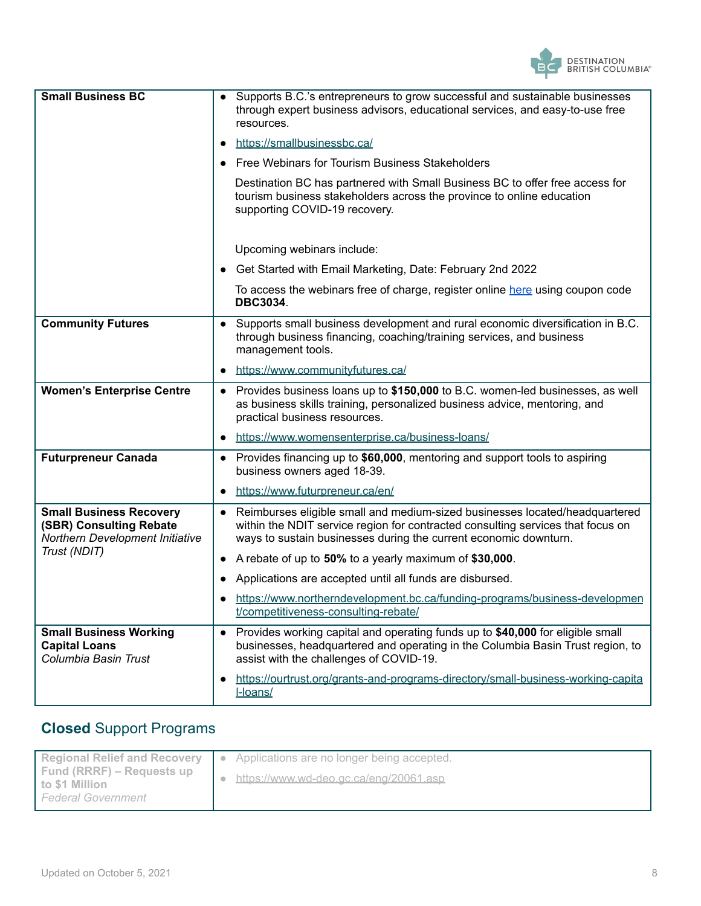

| <b>Small Business BC</b>                                                                     | Supports B.C.'s entrepreneurs to grow successful and sustainable businesses<br>through expert business advisors, educational services, and easy-to-use free<br>resources.                                                                       |  |  |  |  |
|----------------------------------------------------------------------------------------------|-------------------------------------------------------------------------------------------------------------------------------------------------------------------------------------------------------------------------------------------------|--|--|--|--|
|                                                                                              | https://smallbusinessbc.ca/                                                                                                                                                                                                                     |  |  |  |  |
|                                                                                              | Free Webinars for Tourism Business Stakeholders                                                                                                                                                                                                 |  |  |  |  |
|                                                                                              | Destination BC has partnered with Small Business BC to offer free access for<br>tourism business stakeholders across the province to online education<br>supporting COVID-19 recovery.                                                          |  |  |  |  |
|                                                                                              | Upcoming webinars include:                                                                                                                                                                                                                      |  |  |  |  |
|                                                                                              | Get Started with Email Marketing, Date: February 2nd 2022                                                                                                                                                                                       |  |  |  |  |
|                                                                                              | To access the webinars free of charge, register online here using coupon code<br><b>DBC3034.</b>                                                                                                                                                |  |  |  |  |
| <b>Community Futures</b>                                                                     | Supports small business development and rural economic diversification in B.C.<br>through business financing, coaching/training services, and business<br>management tools.                                                                     |  |  |  |  |
|                                                                                              | https://www.communityfutures.ca/<br>$\bullet$                                                                                                                                                                                                   |  |  |  |  |
| <b>Women's Enterprise Centre</b>                                                             | Provides business loans up to \$150,000 to B.C. women-led businesses, as well<br>as business skills training, personalized business advice, mentoring, and<br>practical business resources.                                                     |  |  |  |  |
|                                                                                              | https://www.womensenterprise.ca/business-loans/<br>$\bullet$                                                                                                                                                                                    |  |  |  |  |
| <b>Futurpreneur Canada</b>                                                                   | • Provides financing up to \$60,000, mentoring and support tools to aspiring<br>business owners aged 18-39.                                                                                                                                     |  |  |  |  |
|                                                                                              | https://www.futurpreneur.ca/en/<br>$\bullet$                                                                                                                                                                                                    |  |  |  |  |
| <b>Small Business Recovery</b><br>(SBR) Consulting Rebate<br>Northern Development Initiative | Reimburses eligible small and medium-sized businesses located/headquartered<br>$\bullet$<br>within the NDIT service region for contracted consulting services that focus on<br>ways to sustain businesses during the current economic downturn. |  |  |  |  |
| Trust (NDIT)                                                                                 | A rebate of up to 50% to a yearly maximum of \$30,000.<br>$\bullet$                                                                                                                                                                             |  |  |  |  |
|                                                                                              | Applications are accepted until all funds are disbursed.                                                                                                                                                                                        |  |  |  |  |
|                                                                                              | https://www.northerndevelopment.bc.ca/funding-programs/business-developmen<br>t/competitiveness-consulting-rebate/                                                                                                                              |  |  |  |  |
| <b>Small Business Working</b><br><b>Capital Loans</b><br>Columbia Basin Trust                | Provides working capital and operating funds up to \$40,000 for eligible small<br>$\bullet$<br>businesses, headquartered and operating in the Columbia Basin Trust region, to<br>assist with the challenges of COVID-19.                        |  |  |  |  |
|                                                                                              | https://ourtrust.org/grants-and-programs-directory/small-business-working-capital<br>I-loans/                                                                                                                                                   |  |  |  |  |

### **Closed** Support Programs

| <b>Regional Relief and Recovery</b>         | Applications are no longer being accepted.<br>l e |
|---------------------------------------------|---------------------------------------------------|
| Fund (RRRF) – Requests up<br>to \$1 Million | https://www.wd-deo.gc.ca/eng/20061.asp            |
| <b>Federal Government</b>                   |                                                   |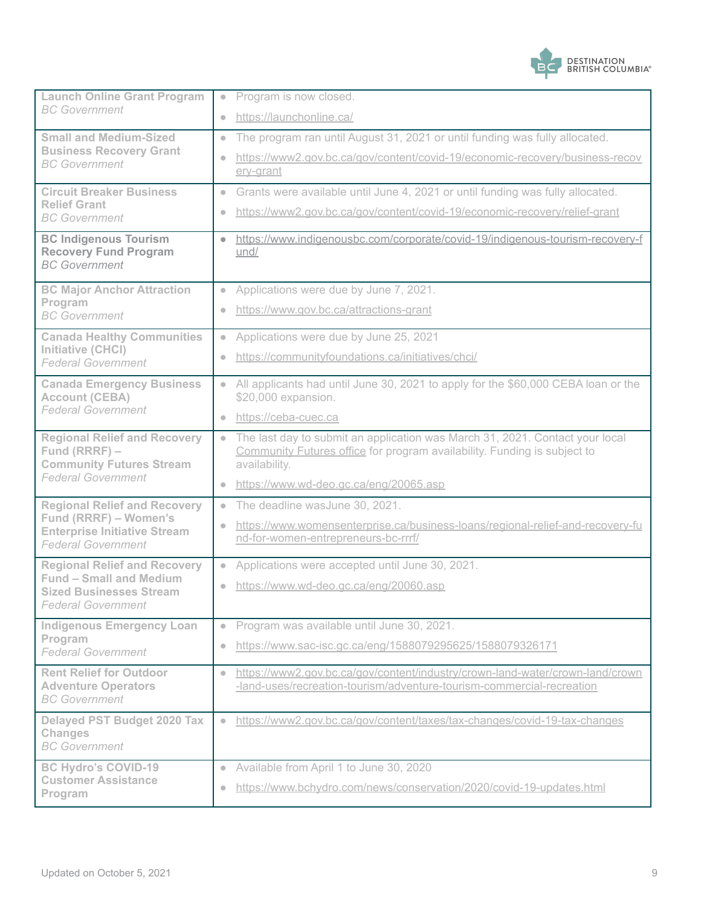

| <b>Launch Online Grant Program</b><br><b>BC</b> Government                                                                           | • Program is now closed.                                                                                                                                                               |  |  |
|--------------------------------------------------------------------------------------------------------------------------------------|----------------------------------------------------------------------------------------------------------------------------------------------------------------------------------------|--|--|
|                                                                                                                                      | https://launchonline.ca/<br>$\bullet$                                                                                                                                                  |  |  |
| <b>Small and Medium-Sized</b><br><b>Business Recovery Grant</b><br><b>BC</b> Government                                              | The program ran until August 31, 2021 or until funding was fully allocated.<br>$\bullet$                                                                                               |  |  |
|                                                                                                                                      | https://www2.gov.bc.ca/gov/content/covid-19/economic-recovery/business-recov<br>$\bullet$<br>erv-grant                                                                                 |  |  |
| <b>Circuit Breaker Business</b><br><b>Relief Grant</b><br><b>BC</b> Government                                                       | Grants were available until June 4, 2021 or until funding was fully allocated.<br>$\bullet$                                                                                            |  |  |
|                                                                                                                                      | https://www2.gov.bc.ca/gov/content/covid-19/economic-recovery/relief-grant<br>$\bullet$                                                                                                |  |  |
| <b>BC Indigenous Tourism</b><br><b>Recovery Fund Program</b><br><b>BC</b> Government                                                 | https://www.indigenousbc.com/corporate/covid-19/indigenous-tourism-recovery-f<br>$\bullet$<br>und/                                                                                     |  |  |
| <b>BC Major Anchor Attraction</b>                                                                                                    | Applications were due by June 7, 2021.<br>$\bullet$                                                                                                                                    |  |  |
| Program<br><b>BC</b> Government                                                                                                      | https://www.gov.bc.ca/attractions-grant<br>$\bullet$                                                                                                                                   |  |  |
| <b>Canada Healthy Communities</b>                                                                                                    | Applications were due by June 25, 2021<br>$\bullet$                                                                                                                                    |  |  |
| Initiative (CHCI)<br><b>Federal Government</b>                                                                                       | https://communityfoundations.ca/initiatives/chci/<br>$\bullet$                                                                                                                         |  |  |
| <b>Canada Emergency Business</b><br><b>Account (CEBA)</b>                                                                            | All applicants had until June 30, 2021 to apply for the \$60,000 CEBA loan or the<br>$\bullet$<br>\$20,000 expansion.                                                                  |  |  |
| <b>Federal Government</b>                                                                                                            | https://ceba-cuec.ca<br>$\bullet$                                                                                                                                                      |  |  |
| <b>Regional Relief and Recovery</b><br>Fund (RRRF) -<br><b>Community Futures Stream</b><br><b>Federal Government</b>                 | The last day to submit an application was March 31, 2021. Contact your local<br>$\bullet$<br>Community Futures office for program availability. Funding is subject to<br>availability. |  |  |
|                                                                                                                                      | https://www.wd-deo.gc.ca/eng/20065.asp<br>$\bullet$                                                                                                                                    |  |  |
| <b>Regional Relief and Recovery</b>                                                                                                  | The deadline wasJune 30, 2021.<br>$\bullet$                                                                                                                                            |  |  |
| Fund (RRRF) - Women's<br><b>Enterprise Initiative Stream</b><br><b>Federal Government</b>                                            | https://www.womensenterprise.ca/business-loans/regional-relief-and-recovery-fu<br>$\bullet$<br>nd-for-women-entrepreneurs-bc-rrrf/                                                     |  |  |
| <b>Regional Relief and Recovery</b><br><b>Fund - Small and Medium</b><br><b>Sized Businesses Stream</b><br><b>Federal Government</b> | Applications were accepted until June 30, 2021.<br>$\bullet$                                                                                                                           |  |  |
|                                                                                                                                      | https://www.wd-deo.gc.ca/eng/20060.asp<br>$\bullet$                                                                                                                                    |  |  |
| <b>Indigenous Emergency Loan</b><br>Program<br><b>Federal Government</b>                                                             | • Program was available until June 30, 2021.                                                                                                                                           |  |  |
|                                                                                                                                      | https://www.sac-isc.gc.ca/eng/1588079295625/1588079326171<br>$\bullet$                                                                                                                 |  |  |
| <b>Rent Relief for Outdoor</b><br><b>Adventure Operators</b><br><b>BC</b> Government                                                 | https://www2.gov.bc.ca/gov/content/industry/crown-land-water/crown-land/crown<br>$\bullet$<br>-land-uses/recreation-tourism/adventure-tourism-commercial-recreation                    |  |  |
| <b>Delayed PST Budget 2020 Tax</b><br><b>Changes</b><br><b>BC</b> Government                                                         | https://www2.gov.bc.ca/gov/content/taxes/tax-changes/covid-19-tax-changes<br>$\bullet$                                                                                                 |  |  |
| <b>BC Hydro's COVID-19</b>                                                                                                           | Available from April 1 to June 30, 2020<br>$\bullet$                                                                                                                                   |  |  |
| <b>Customer Assistance</b><br>Program                                                                                                | https://www.bchydro.com/news/conservation/2020/covid-19-updates.html<br>$\bullet$                                                                                                      |  |  |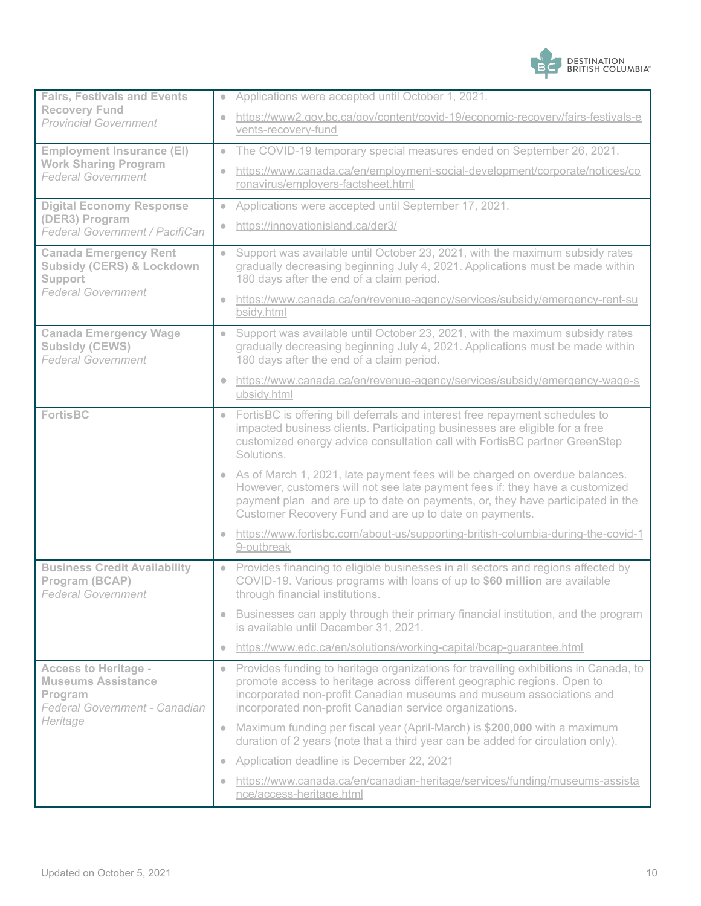

| <b>Fairs, Festivals and Events</b>                                                                               |                                           | Applications were accepted until October 1, 2021.                                                                                                                                                                                                                                                       |
|------------------------------------------------------------------------------------------------------------------|-------------------------------------------|---------------------------------------------------------------------------------------------------------------------------------------------------------------------------------------------------------------------------------------------------------------------------------------------------------|
| <b>Recovery Fund</b><br><b>Provincial Government</b>                                                             | vents-recovery-fund                       | https://www2.gov.bc.ca/gov/content/covid-19/economic-recovery/fairs-festivals-e                                                                                                                                                                                                                         |
| <b>Employment Insurance (EI)</b>                                                                                 |                                           | The COVID-19 temporary special measures ended on September 26, 2021.                                                                                                                                                                                                                                    |
| <b>Work Sharing Program</b><br><b>Federal Government</b>                                                         | ronavirus/employers-factsheet.html        | https://www.canada.ca/en/employment-social-development/corporate/notices/co                                                                                                                                                                                                                             |
| <b>Digital Economy Response</b>                                                                                  |                                           | Applications were accepted until September 17, 2021.                                                                                                                                                                                                                                                    |
| (DER3) Program<br>Federal Government / PacifiCan                                                                 | https://innovationisland.ca/der3/         |                                                                                                                                                                                                                                                                                                         |
| <b>Canada Emergency Rent</b><br><b>Subsidy (CERS) &amp; Lockdown</b><br><b>Support</b>                           | 180 days after the end of a claim period. | Support was available until October 23, 2021, with the maximum subsidy rates<br>gradually decreasing beginning July 4, 2021. Applications must be made within                                                                                                                                           |
| <b>Federal Government</b>                                                                                        | bsidy.html                                | https://www.canada.ca/en/revenue-agency/services/subsidy/emergency-rent-su                                                                                                                                                                                                                              |
| <b>Canada Emergency Wage</b><br>Subsidy (CEWS)<br><b>Federal Government</b>                                      | 180 days after the end of a claim period. | Support was available until October 23, 2021, with the maximum subsidy rates<br>gradually decreasing beginning July 4, 2021. Applications must be made within                                                                                                                                           |
|                                                                                                                  | ubsidy.html                               | https://www.canada.ca/en/revenue-agency/services/subsidy/emergency-wage-s                                                                                                                                                                                                                               |
| <b>FortisBC</b>                                                                                                  | Solutions.                                | FortisBC is offering bill deferrals and interest free repayment schedules to<br>impacted business clients. Participating businesses are eligible for a free<br>customized energy advice consultation call with FortisBC partner GreenStep                                                               |
|                                                                                                                  |                                           | As of March 1, 2021, late payment fees will be charged on overdue balances.<br>However, customers will not see late payment fees if: they have a customized<br>payment plan and are up to date on payments, or, they have participated in the<br>Customer Recovery Fund and are up to date on payments. |
|                                                                                                                  | 9-outbreak                                | https://www.fortisbc.com/about-us/supporting-british-columbia-during-the-covid-1                                                                                                                                                                                                                        |
| <b>Business Credit Availability</b><br>Program (BCAP)<br><b>Federal Government</b>                               | through financial institutions.           | Provides financing to eligible businesses in all sectors and regions affected by<br>COVID-19. Various programs with loans of up to \$60 million are available                                                                                                                                           |
|                                                                                                                  | is available until December 31, 2021.     | Businesses can apply through their primary financial institution, and the program                                                                                                                                                                                                                       |
|                                                                                                                  |                                           | https://www.edc.ca/en/solutions/working-capital/bcap-quarantee.html                                                                                                                                                                                                                                     |
| <b>Access to Heritage -</b><br><b>Museums Assistance</b><br>Program<br>Federal Government - Canadian<br>Heritage |                                           | Provides funding to heritage organizations for travelling exhibitions in Canada, to<br>promote access to heritage across different geographic regions. Open to<br>incorporated non-profit Canadian museums and museum associations and<br>incorporated non-profit Canadian service organizations.       |
|                                                                                                                  |                                           | Maximum funding per fiscal year (April-March) is \$200,000 with a maximum<br>duration of 2 years (note that a third year can be added for circulation only).                                                                                                                                            |
|                                                                                                                  | Application deadline is December 22, 2021 |                                                                                                                                                                                                                                                                                                         |
|                                                                                                                  | nce/access-heritage.html                  | https://www.canada.ca/en/canadian-heritage/services/funding/museums-assista                                                                                                                                                                                                                             |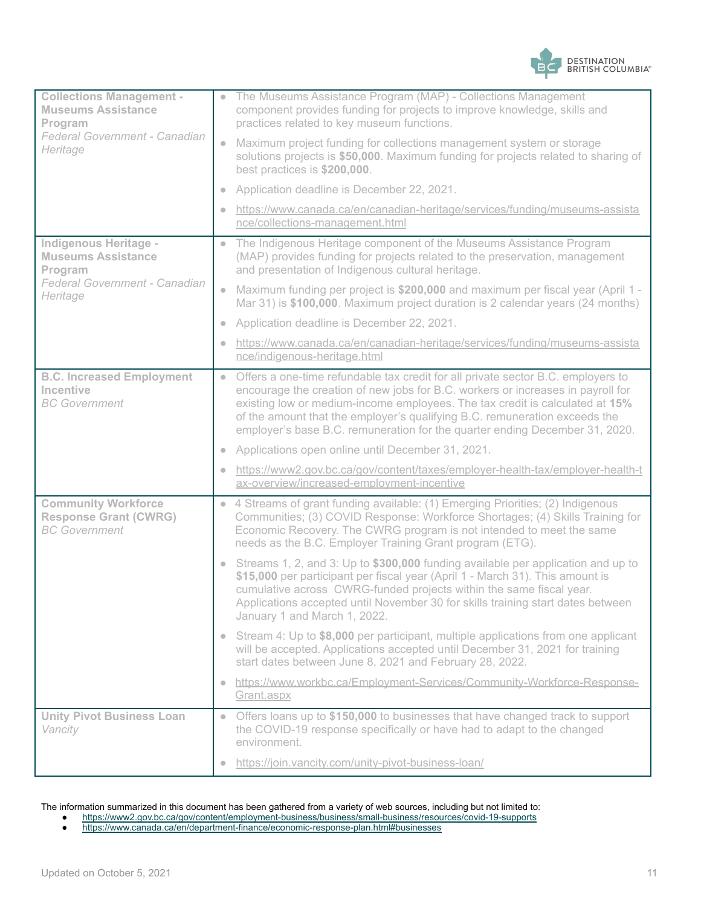

| <b>Collections Management -</b><br><b>Museums Assistance</b><br>Program<br>Federal Government - Canadian<br>Heritage | The Museums Assistance Program (MAP) - Collections Management<br>$\bullet$<br>component provides funding for projects to improve knowledge, skills and<br>practices related to key museum functions.                                                                                                                                                                                                                          |
|----------------------------------------------------------------------------------------------------------------------|-------------------------------------------------------------------------------------------------------------------------------------------------------------------------------------------------------------------------------------------------------------------------------------------------------------------------------------------------------------------------------------------------------------------------------|
|                                                                                                                      | Maximum project funding for collections management system or storage<br>$\qquad \qquad \bullet$<br>solutions projects is \$50,000. Maximum funding for projects related to sharing of<br>best practices is \$200,000.                                                                                                                                                                                                         |
|                                                                                                                      | Application deadline is December 22, 2021.<br>$\bullet$                                                                                                                                                                                                                                                                                                                                                                       |
|                                                                                                                      | https://www.canada.ca/en/canadian-heritage/services/funding/museums-assista<br>nce/collections-management.html                                                                                                                                                                                                                                                                                                                |
| <b>Indigenous Heritage -</b><br><b>Museums Assistance</b><br>Program<br>Federal Government - Canadian<br>Heritage    | The Indigenous Heritage component of the Museums Assistance Program<br>$\qquad \qquad \bullet$<br>(MAP) provides funding for projects related to the preservation, management<br>and presentation of Indigenous cultural heritage.                                                                                                                                                                                            |
|                                                                                                                      | Maximum funding per project is \$200,000 and maximum per fiscal year (April 1 -<br>$\bullet$<br>Mar 31) is \$100,000. Maximum project duration is 2 calendar years (24 months)                                                                                                                                                                                                                                                |
|                                                                                                                      | Application deadline is December 22, 2021.<br>$\bullet$                                                                                                                                                                                                                                                                                                                                                                       |
|                                                                                                                      | https://www.canada.ca/en/canadian-heritage/services/funding/museums-assista<br>nce/indigenous-heritage.html                                                                                                                                                                                                                                                                                                                   |
| <b>B.C. Increased Employment</b><br>Incentive<br><b>BC</b> Government                                                | Offers a one-time refundable tax credit for all private sector B.C. employers to<br>$\bullet$<br>encourage the creation of new jobs for B.C. workers or increases in payroll for<br>existing low or medium-income employees. The tax credit is calculated at 15%<br>of the amount that the employer's qualifying B.C. remuneration exceeds the<br>employer's base B.C. remuneration for the quarter ending December 31, 2020. |
|                                                                                                                      | Applications open online until December 31, 2021.<br>$\bullet$                                                                                                                                                                                                                                                                                                                                                                |
|                                                                                                                      | https://www2.gov.bc.ca/gov/content/taxes/employer-health-tax/employer-health-t<br>$\qquad \qquad \bullet$<br>ax-overview/increased-employment-incentive                                                                                                                                                                                                                                                                       |
| <b>Community Workforce</b><br><b>Response Grant (CWRG)</b><br><b>BC</b> Government                                   | • 4 Streams of grant funding available: (1) Emerging Priorities; (2) Indigenous<br>Communities; (3) COVID Response: Workforce Shortages; (4) Skills Training for<br>Economic Recovery. The CWRG program is not intended to meet the same<br>needs as the B.C. Employer Training Grant program (ETG).                                                                                                                          |
|                                                                                                                      | Streams 1, 2, and 3: Up to \$300,000 funding available per application and up to<br>$\bullet$<br>\$15,000 per participant per fiscal year (April 1 - March 31). This amount is<br>cumulative across CWRG-funded projects within the same fiscal year.<br>Applications accepted until November 30 for skills training start dates between<br>January 1 and March 1, 2022.                                                      |
|                                                                                                                      | • Stream 4: Up to \$8,000 per participant, multiple applications from one applicant<br>will be accepted. Applications accepted until December 31, 2021 for training<br>start dates between June 8, 2021 and February 28, 2022.                                                                                                                                                                                                |
|                                                                                                                      | https://www.workbc.ca/Employment-Services/Community-Workforce-Response-<br>$\color{black} \bullet$<br>Grant.aspx                                                                                                                                                                                                                                                                                                              |
| <b>Unity Pivot Business Loan</b><br>Vancity                                                                          | Offers loans up to \$150,000 to businesses that have changed track to support<br>$\bullet$<br>the COVID-19 response specifically or have had to adapt to the changed<br>environment.                                                                                                                                                                                                                                          |
|                                                                                                                      | https://join.vancity.com/unity-pivot-business-loan/                                                                                                                                                                                                                                                                                                                                                                           |

#### The information summarized in this document has been gathered from a variety of web sources, including but not limited to:

- <https://www2.gov.bc.ca/gov/content/employment-business/business/small-business/resources/covid-19-supports>
- <https://www.canada.ca/en/department-finance/economic-response-plan.html#businesses>